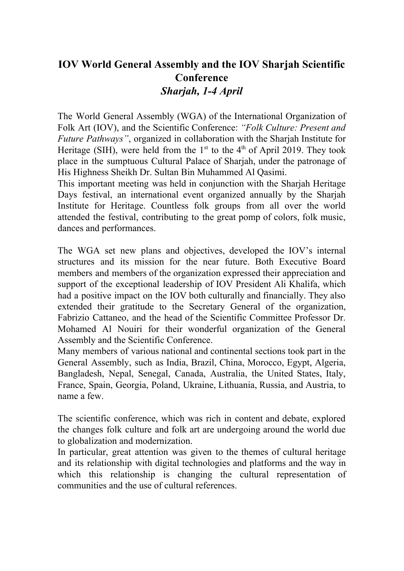## **IOV World General Assembly and the IOV Sharjah Scientific Conference** *Sharjah, 1-4 April*

The World General Assembly (WGA) of the International Organization of Folk Art (IOV), and the Scientific Conference: *"Folk Culture: Present and Future Pathways"*, organized in collaboration with the Sharjah Institute for Heritage (SIH), were held from the  $1<sup>st</sup>$  to the 4<sup>th</sup> of April 2019. They took place in the sumptuous Cultural Palace of Sharjah, under the patronage of His Highness Sheikh Dr. Sultan Bin Muhammed Al Qasimi.

This important meeting was held in conjunction with the Sharjah Heritage Days festival, an international event organized annually by the Sharjah Institute for Heritage. Countless folk groups from all over the world attended the festival, contributing to the great pomp of colors, folk music, dances and performances.

The WGA set new plans and objectives, developed the IOV's internal structures and its mission for the near future. Both Executive Board members and members of the organization expressed their appreciation and support of the exceptional leadership of IOV President Ali Khalifa, which had a positive impact on the IOV both culturally and financially. They also extended their gratitude to the Secretary General of the organization, Fabrizio Cattaneo, and the head of the Scientific Committee Professor Dr. Mohamed Al Nouiri for their wonderful organization of the General Assembly and the Scientific Conference.

Many members of various national and continental sections took part in the General Assembly, such as India, Brazil, China, Morocco, Egypt, Algeria, Bangladesh, Nepal, Senegal, Canada, Australia, the United States, Italy, France, Spain, Georgia, Poland, Ukraine, Lithuania, Russia, and Austria, to name a few.

The scientific conference, which was rich in content and debate, explored the changes folk culture and folk art are undergoing around the world due to globalization and modernization.

In particular, great attention was given to the themes of cultural heritage and its relationship with digital technologies and platforms and the way in which this relationship is changing the cultural representation of communities and the use of cultural references.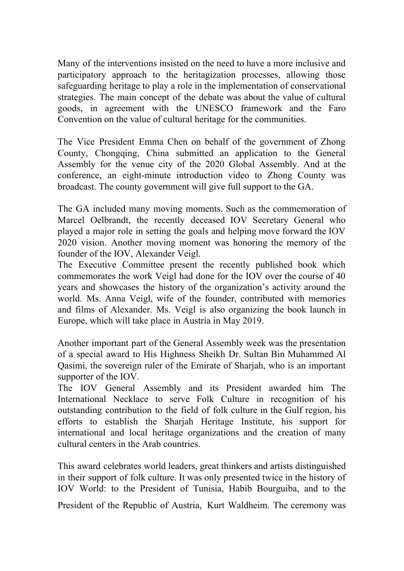Many of the interventions insisted on the need to have a more inclusive and participatory approach to the heritagization processes, allowing those safeguarding heritage to play a role in the implementation of conservational strategies. The main concept of the debate was about the value of cultural goods, in agreement with the UNESCO framework and the Faro Convention on the value of cultural heritage for the communities.

The Vice President Emma Chen on behalf of the government of Zhong County, Chongqing, China submitted an application to the General Assembly for the venue city of the 2020 Global Assembly. And at the conference, an eight-minute introduction video to Zhong County was broadcast. The county government will give full support to the GA.

The GA included many moving moments. Such as the commemoration of Marcel Oelbrandt, the recently deceased IOV Secretary General who played a major role in setting the goals and helping move forward the IOV 2020 vision. Another moving moment was honoring the memory of the founder of the IOV, Alexander Veigl.

The Executive Committee present the recently published book which commemorates the work Veigl had done for the IOV over the course of 40 years and showcases the history of the organization's activity around the world. Ms. Anna Veigl, wife of the founder, contributed with memories and films of Alexander. Ms. Veigl is also organizing the book launch in Europe, which will take place in Austria in May 2019.

Another important part of the General Assembly week was the presentation of a special award to His Highness Sheikh Dr. Sultan Bin Muhammed Al Qasimi, the sovereign ruler of the Emirate of Sharjah, who is an important supporter of the IOV.

The IOV General Assembly and its President awarded him The International Necklace to serve Folk Culture in recognition of his outstanding contribution to the field of folk culture in the Gulf region, his efforts to establish the Sharjah Heritage Institute, his support for international and local heritage organizations and the creation of many cultural centers in the Arab countries.

This award celebrates world leaders, great thinkers and artists distinguished in their support of folk culture. It was only presented twice in the history of IOV World: to the President of Tunisia, Habib Bourguiba, and to the

President of the Republic of Austria, Kurt Waldheim. The ceremony was